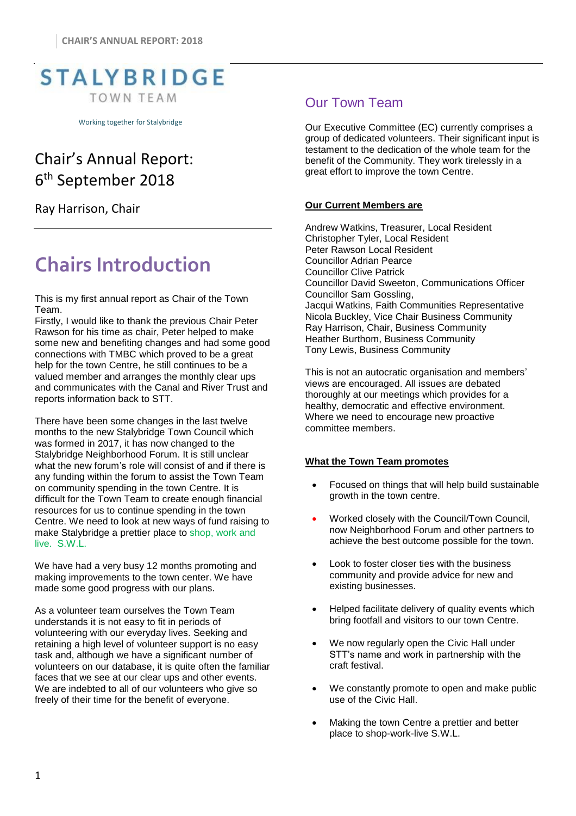

Working together for Stalybridge

## Chair's Annual Report: 6 th September 2018

Ray Harrison, Chair

# **Chairs Introduction**

This is my first annual report as Chair of the Town Team.

Firstly, I would like to thank the previous Chair Peter Rawson for his time as chair, Peter helped to make some new and benefiting changes and had some good connections with TMBC which proved to be a great help for the town Centre, he still continues to be a valued member and arranges the monthly clear ups and communicates with the Canal and River Trust and reports information back to STT.

There have been some changes in the last twelve months to the new Stalybridge Town Council which was formed in 2017, it has now changed to the Stalybridge Neighborhood Forum. It is still unclear what the new forum's role will consist of and if there is any funding within the forum to assist the Town Team on community spending in the town Centre. It is difficult for the Town Team to create enough financial resources for us to continue spending in the town Centre. We need to look at new ways of fund raising to make Stalybridge a prettier place to shop, work and live. S.W.L.

We have had a very busy 12 months promoting and making improvements to the town center. We have made some good progress with our plans.

As a volunteer team ourselves the Town Team understands it is not easy to fit in periods of volunteering with our everyday lives. Seeking and retaining a high level of volunteer support is no easy task and, although we have a significant number of volunteers on our database, it is quite often the familiar faces that we see at our clear ups and other events. We are indebted to all of our volunteers who give so freely of their time for the benefit of everyone.

### Our Town Team

Our Executive Committee (EC) currently comprises a group of dedicated volunteers. Their significant input is testament to the dedication of the whole team for the benefit of the Community. They work tirelessly in a great effort to improve the town Centre.

#### **Our Current Members are**

Andrew Watkins, Treasurer, Local Resident Christopher Tyler, Local Resident Peter Rawson Local Resident Councillor Adrian Pearce Councillor Clive Patrick Councillor David Sweeton, Communications Officer Councillor Sam Gossling, Jacqui Watkins, Faith Communities Representative Nicola Buckley, Vice Chair Business Community Ray Harrison, Chair, Business Community Heather Burthom, Business Community Tony Lewis, Business Community

This is not an autocratic organisation and members' views are encouraged. All issues are debated thoroughly at our meetings which provides for a healthy, democratic and effective environment. Where we need to encourage new proactive committee members.

#### **What the Town Team promotes**

- Focused on things that will help build sustainable growth in the town centre.
- Worked closely with the Council/Town Council, now Neighborhood Forum and other partners to achieve the best outcome possible for the town.
- Look to foster closer ties with the business community and provide advice for new and existing businesses.
- Helped facilitate delivery of quality events which bring footfall and visitors to our town Centre.
- We now regularly open the Civic Hall under STT's name and work in partnership with the craft festival.
- We constantly promote to open and make public use of the Civic Hall.
- Making the town Centre a prettier and better place to shop-work-live S.W.L.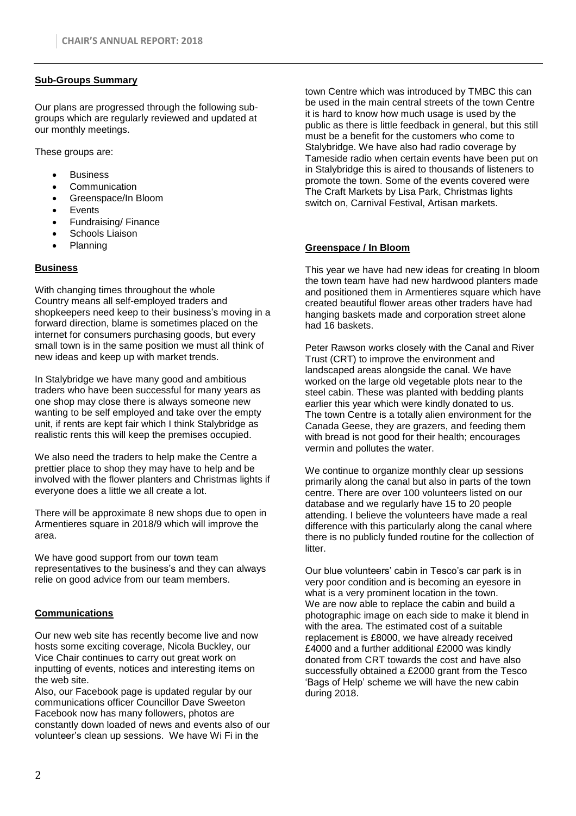#### **Sub-Groups Summary**

Our plans are progressed through the following subgroups which are regularly reviewed and updated at our monthly meetings.

These groups are:

- **Business**
- **Communication**
- Greenspace/In Bloom
- **Events**
- Fundraising/ Finance
- Schools Liaison
- Planning

#### **Business**

With changing times throughout the whole Country means all self-employed traders and shopkeepers need keep to their business's moving in a forward direction, blame is sometimes placed on the internet for consumers purchasing goods, but every small town is in the same position we must all think of new ideas and keep up with market trends.

In Stalybridge we have many good and ambitious traders who have been successful for many years as one shop may close there is always someone new wanting to be self employed and take over the empty unit, if rents are kept fair which I think Stalybridge as realistic rents this will keep the premises occupied.

We also need the traders to help make the Centre a prettier place to shop they may have to help and be involved with the flower planters and Christmas lights if everyone does a little we all create a lot.

There will be approximate 8 new shops due to open in Armentieres square in 2018/9 which will improve the area.

We have good support from our town team representatives to the business's and they can always relie on good advice from our team members.

#### **Communications**

Our new web site has recently become live and now hosts some exciting coverage, Nicola Buckley, our Vice Chair continues to carry out great work on inputting of events, notices and interesting items on the web site.

Also, our Facebook page is updated regular by our communications officer Councillor Dave Sweeton Facebook now has many followers, photos are constantly down loaded of news and events also of our volunteer's clean up sessions. We have Wi Fi in the

town Centre which was introduced by TMBC this can be used in the main central streets of the town Centre it is hard to know how much usage is used by the public as there is little feedback in general, but this still must be a benefit for the customers who come to Stalybridge. We have also had radio coverage by Tameside radio when certain events have been put on in Stalybridge this is aired to thousands of listeners to promote the town. Some of the events covered were The Craft Markets by Lisa Park, Christmas lights switch on, Carnival Festival, Artisan markets.

#### **Greenspace / In Bloom**

This year we have had new ideas for creating In bloom the town team have had new hardwood planters made and positioned them in Armentieres square which have created beautiful flower areas other traders have had hanging baskets made and corporation street alone had 16 baskets.

Peter Rawson works closely with the Canal and River Trust (CRT) to improve the environment and landscaped areas alongside the canal. We have worked on the large old vegetable plots near to the steel cabin. These was planted with bedding plants earlier this year which were kindly donated to us. The town Centre is a totally alien environment for the Canada Geese, they are grazers, and feeding them with bread is not good for their health; encourages vermin and pollutes the water.

We continue to organize monthly clear up sessions primarily along the canal but also in parts of the town centre. There are over 100 volunteers listed on our database and we regularly have 15 to 20 people attending. I believe the volunteers have made a real difference with this particularly along the canal where there is no publicly funded routine for the collection of litter.

Our blue volunteers' cabin in Tesco's car park is in very poor condition and is becoming an eyesore in what is a very prominent location in the town. We are now able to replace the cabin and build a photographic image on each side to make it blend in with the area. The estimated cost of a suitable replacement is £8000, we have already received £4000 and a further additional £2000 was kindly donated from CRT towards the cost and have also successfully obtained a £2000 grant from the Tesco 'Bags of Help' scheme we will have the new cabin during 2018.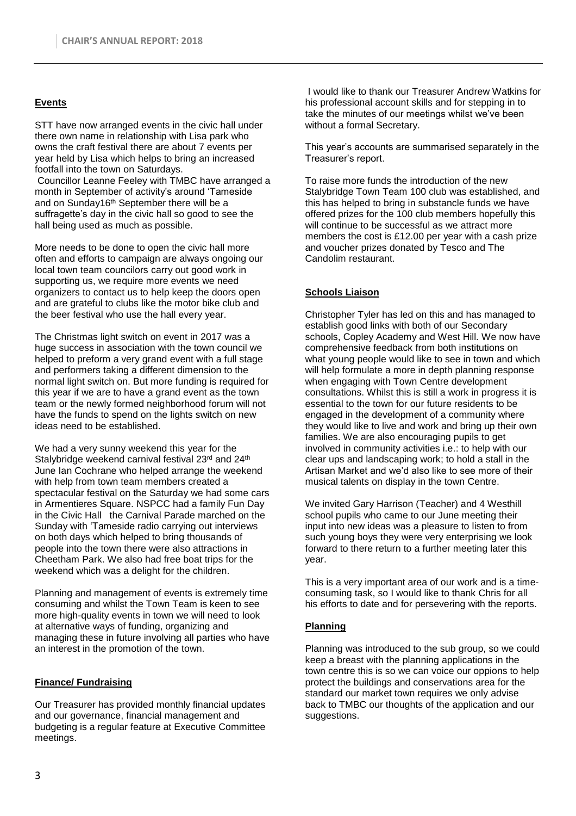#### **Events**

STT have now arranged events in the civic hall under there own name in relationship with Lisa park who owns the craft festival there are about 7 events per year held by Lisa which helps to bring an increased footfall into the town on Saturdays. Councillor Leanne Feeley with TMBC have arranged a month in September of activity's around 'Tameside and on Sunday16<sup>th</sup> September there will be a suffragette's day in the civic hall so good to see the hall being used as much as possible.

More needs to be done to open the civic hall more often and efforts to campaign are always ongoing our local town team councilors carry out good work in supporting us, we require more events we need organizers to contact us to help keep the doors open and are grateful to clubs like the motor bike club and the beer festival who use the hall every year.

The Christmas light switch on event in 2017 was a huge success in association with the town council we helped to preform a very grand event with a full stage and performers taking a different dimension to the normal light switch on. But more funding is required for this year if we are to have a grand event as the town team or the newly formed neighborhood forum will not have the funds to spend on the lights switch on new ideas need to be established.

We had a very sunny weekend this year for the Stalybridge weekend carnival festival 23<sup>rd</sup> and 24<sup>th</sup> June Ian Cochrane who helped arrange the weekend with help from town team members created a spectacular festival on the Saturday we had some cars in Armentieres Square. NSPCC had a family Fun Day in the Civic Hall the Carnival Parade marched on the Sunday with 'Tameside radio carrying out interviews on both days which helped to bring thousands of people into the town there were also attractions in Cheetham Park. We also had free boat trips for the weekend which was a delight for the children.

Planning and management of events is extremely time consuming and whilst the Town Team is keen to see more high-quality events in town we will need to look at alternative ways of funding, organizing and managing these in future involving all parties who have an interest in the promotion of the town.

#### **Finance/ Fundraising**

Our Treasurer has provided monthly financial updates and our governance, financial management and budgeting is a regular feature at Executive Committee meetings.

I would like to thank our Treasurer Andrew Watkins for his professional account skills and for stepping in to take the minutes of our meetings whilst we've been without a formal Secretary.

This year's accounts are summarised separately in the Treasurer's report.

To raise more funds the introduction of the new Stalybridge Town Team 100 club was established, and this has helped to bring in substancle funds we have offered prizes for the 100 club members hopefully this will continue to be successful as we attract more members the cost is £12.00 per year with a cash prize and voucher prizes donated by Tesco and The Candolim restaurant.

#### **Schools Liaison**

Christopher Tyler has led on this and has managed to establish good links with both of our Secondary schools, Copley Academy and West Hill. We now have comprehensive feedback from both institutions on what young people would like to see in town and which will help formulate a more in depth planning response when engaging with Town Centre development consultations. Whilst this is still a work in progress it is essential to the town for our future residents to be engaged in the development of a community where they would like to live and work and bring up their own families. We are also encouraging pupils to get involved in community activities i.e.: to help with our clear ups and landscaping work; to hold a stall in the Artisan Market and we'd also like to see more of their musical talents on display in the town Centre.

We invited Gary Harrison (Teacher) and 4 Westhill school pupils who came to our June meeting their input into new ideas was a pleasure to listen to from such young boys they were very enterprising we look forward to there return to a further meeting later this year.

This is a very important area of our work and is a timeconsuming task, so I would like to thank Chris for all his efforts to date and for persevering with the reports.

#### **Planning**

Planning was introduced to the sub group, so we could keep a breast with the planning applications in the town centre this is so we can voice our oppions to help protect the buildings and conservations area for the standard our market town requires we only advise back to TMBC our thoughts of the application and our suggestions.